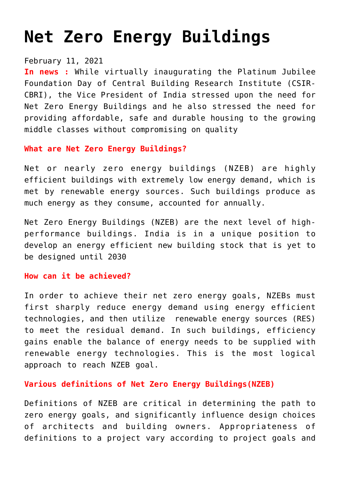# **[Net Zero Energy Buildings](https://journalsofindia.com/net-zero-energy-buildings/)**

# February 11, 2021

**In news :** While virtually inaugurating the Platinum Jubilee Foundation Day of Central Building Research Institute (CSIR-CBRI), the Vice President of India stressed upon the need for Net Zero Energy Buildings and he also stressed the need for providing affordable, safe and durable housing to the growing middle classes without compromising on quality

## **What are Net Zero Energy Buildings?**

Net or nearly zero energy buildings (NZEB) are highly efficient buildings with extremely low energy demand, which is met by renewable energy sources. Such buildings produce as much energy as they consume, accounted for annually.

Net Zero Energy Buildings (NZEB) are the next level of highperformance buildings. India is in a unique position to develop an energy efficient new building stock that is yet to be designed until 2030

# **How can it be achieved?**

In order to achieve their net zero energy goals, NZEBs must first sharply reduce energy demand using energy efficient technologies, and then utilize renewable energy sources (RES) to meet the residual demand. In such buildings, efficiency gains enable the balance of energy needs to be supplied with renewable energy technologies. This is the most logical approach to reach NZEB goal.

## **Various definitions of Net Zero Energy Buildings(NZEB)**

Definitions of NZEB are critical in determining the path to zero energy goals, and significantly influence design choices of architects and building owners. Appropriateness of definitions to a project vary according to project goals and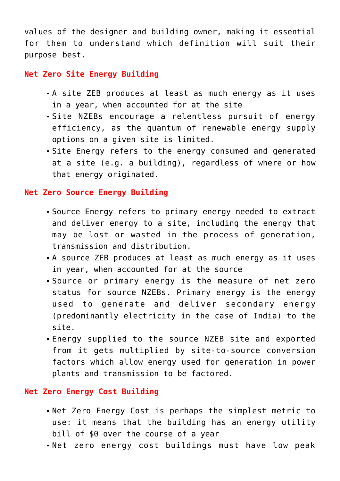values of the designer and building owner, making it essential for them to understand which definition will suit their purpose best.

# **Net Zero Site Energy Building**

- A site ZEB produces at least as much energy as it uses in a year, when accounted for at the site
- Site NZEBs encourage a relentless pursuit of energy efficiency, as the quantum of renewable energy supply options on a given site is limited.
- Site Energy refers to the energy consumed and generated at a site (e.g. a building), regardless of where or how that energy originated.

#### **Net Zero Source Energy Building**

- Source Energy refers to primary energy needed to extract and deliver energy to a site, including the energy that may be lost or wasted in the process of generation, transmission and distribution.
- A source ZEB produces at least as much energy as it uses in year, when accounted for at the source
- Source or primary energy is the measure of net zero status for source NZEBs. Primary energy is the energy used to generate and deliver secondary energy (predominantly electricity in the case of India) to the site.
- Energy supplied to the source NZEB site and exported from it gets multiplied by site-to-source conversion factors which allow energy used for generation in power plants and transmission to be factored.

#### **Net Zero Energy Cost Building**

- Net Zero Energy Cost is perhaps the simplest metric to use: it means that the building has an energy utility bill of \$0 over the course of a year
- Net zero energy cost buildings must have low peak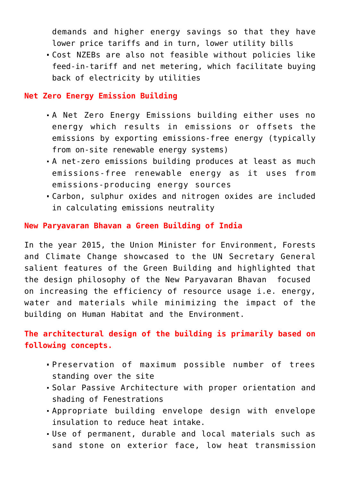demands and higher energy savings so that they have lower price tariffs and in turn, lower utility bills

Cost NZEBs are also not feasible without policies like feed-in-tariff and net metering, which facilitate buying back of electricity by utilities

## **Net Zero Energy Emission Building**

- A Net Zero Energy Emissions building either uses no energy which results in emissions or offsets the emissions by exporting emissions-free energy (typically from on-site renewable energy systems)
- A net-zero emissions building produces at least as much emissions-free renewable energy as it uses from emissions-producing energy sources
- Carbon, sulphur oxides and nitrogen oxides are included in calculating emissions neutrality

# **New Paryavaran Bhavan a Green Building of India**

In the year 2015, the Union Minister for Environment, Forests and Climate Change showcased to the UN Secretary General salient features of the Green Building and highlighted that the design philosophy of the New Paryavaran Bhavan focused on increasing the efficiency of resource usage i.e. energy, water and materials while minimizing the impact of the building on Human Habitat and the Environment.

# **The architectural design of the building is primarily based on following concepts.**

- Preservation of maximum possible number of trees standing over the site
- Solar Passive Architecture with proper orientation and shading of Fenestrations
- Appropriate building envelope design with envelope insulation to reduce heat intake.
- Use of permanent, durable and local materials such as sand stone on exterior face, low heat transmission